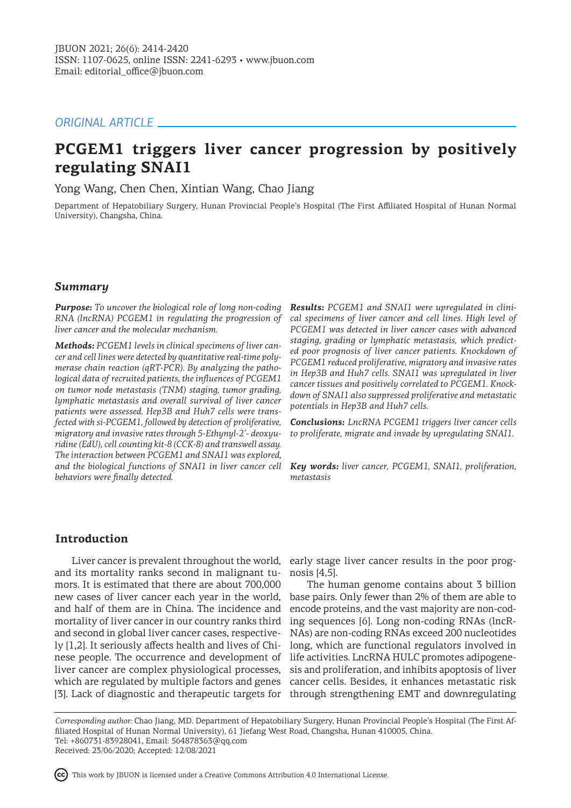# *ORIGINAL ARTICLE*

# **PCGEM1 triggers liver cancer progression by positively regulating SNAI1**

Yong Wang, Chen Chen, Xintian Wang, Chao Jiang

Department of Hepatobiliary Surgery, Hunan Provincial People's Hospital (The First Affiliated Hospital of Hunan Normal University), Changsha, China.

# *Summary*

*Purpose: To uncover the biological role of long non-coding RNA (lncRNA) PCGEM1 in regulating the progression of liver cancer and the molecular mechanism.* 

*Methods: PCGEM1 levels in clinical specimens of liver cancer and cell lines were detected by quantitative real-time polymerase chain reaction (qRT-PCR). By analyzing the pathological data of recruited patients, the influences of PCGEM1 on tumor node metastasis (TNM) staging, tumor grading, lymphatic metastasis and overall survival of liver cancer patients were assessed. Hep3B and Huh7 cells were transfected with si-PCGEM1, followed by detection of proliferative, migratory and invasive rates through 5-Ethynyl-2'- deoxyuridine (EdU), cell counting kit-8 (CCK-8) and transwell assay. The interaction between PCGEM1 and SNAI1 was explored, and the biological functions of SNAI1 in liver cancer cell Key words: liver cancer, PCGEM1, SNAI1, proliferation, behaviors were finally detected.* 

*Results: PCGEM1 and SNAI1 were upregulated in clinical specimens of liver cancer and cell lines. High level of PCGEM1 was detected in liver cancer cases with advanced staging, grading or lymphatic metastasis, which predicted poor prognosis of liver cancer patients. Knockdown of PCGEM1 reduced proliferative, migratory and invasive rates in Hep3B and Huh7 cells. SNAI1 was upregulated in liver cancer tissues and positively correlated to PCGEM1. Knockdown of SNAI1 also suppressed proliferative and metastatic potentials in Hep3B and Huh7 cells.*

*Conclusions: LncRNA PCGEM1 triggers liver cancer cells to proliferate, migrate and invade by upregulating SNAI1.* 

*metastasis* 

# **Introduction**

and its mortality ranks second in malignant tumors. It is estimated that there are about 700,000 new cases of liver cancer each year in the world, and half of them are in China. The incidence and mortality of liver cancer in our country ranks third and second in global liver cancer cases, respectively [1,2]. It seriously affects health and lives of Chinese people. The occurrence and development of liver cancer are complex physiological processes, which are regulated by multiple factors and genes

Liver cancer is prevalent throughout the world, early stage liver cancer results in the poor prognosis [4,5].

[3]. Lack of diagnostic and therapeutic targets for through strengthening EMT and downregulating The human genome contains about 3 billion base pairs. Only fewer than 2% of them are able to encode proteins, and the vast majority are non-coding sequences [6]. Long non-coding RNAs (lncR-NAs) are non-coding RNAs exceed 200 nucleotides long, which are functional regulators involved in life activities. LncRNA HULC promotes adipogenesis and proliferation, and inhibits apoptosis of liver cancer cells. Besides, it enhances metastatic risk

*Corresponding author:* Chao Jiang, MD. Department of Hepatobiliary Surgery, Hunan Provincial People's Hospital (The First Affiliated Hospital of Hunan Normal University), 61 Jiefang West Road, Changsha, Hunan 410005, China. Tel: +860731-83928041, Email: 564878363@qq.com Received: 23/06/2020; Accepted: 12/08/2021

This work by JBUON is licensed under a Creative Commons Attribution 4.0 International License.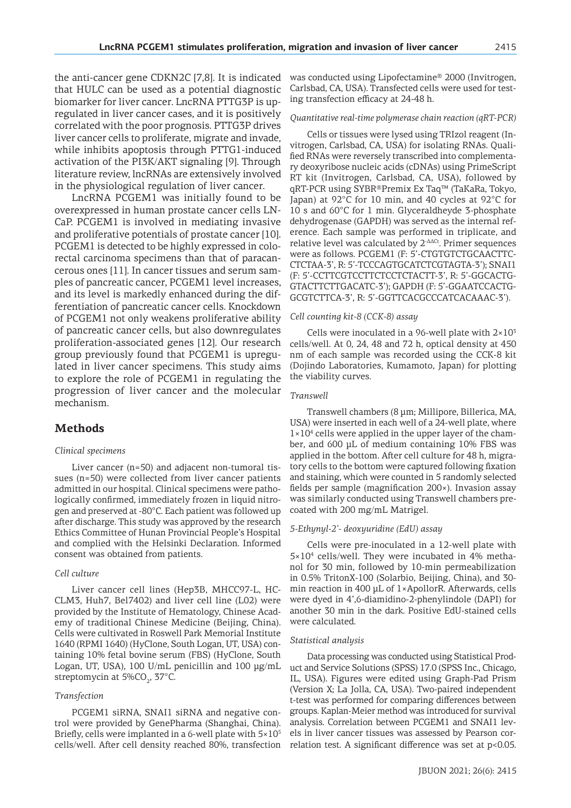the anti-cancer gene CDKN2C [7,8]. It is indicated that HULC can be used as a potential diagnostic biomarker for liver cancer. LncRNA PTTG3P is upregulated in liver cancer cases, and it is positively correlated with the poor prognosis. PTTG3P drives liver cancer cells to proliferate, migrate and invade, while inhibits apoptosis through PTTG1-induced activation of the PI3K/AKT signaling [9]. Through literature review, lncRNAs are extensively involved in the physiological regulation of liver cancer.

LncRNA PCGEM1 was initially found to be overexpressed in human prostate cancer cells LN-CaP. PCGEM1 is involved in mediating invasive and proliferative potentials of prostate cancer [10]. PCGEM1 is detected to be highly expressed in colorectal carcinoma specimens than that of paracancerous ones [11]. In cancer tissues and serum samples of pancreatic cancer, PCGEM1 level increases, and its level is markedly enhanced during the differentiation of pancreatic cancer cells. Knockdown of PCGEM1 not only weakens proliferative ability of pancreatic cancer cells, but also downregulates proliferation-associated genes [12]. Our research group previously found that PCGEM1 is upregulated in liver cancer specimens. This study aims to explore the role of PCGEM1 in regulating the progression of liver cancer and the molecular mechanism.

# **Methods**

#### *Clinical specimens*

Liver cancer (n=50) and adjacent non-tumoral tissues (n=50) were collected from liver cancer patients admitted in our hospital. Clinical specimens were pathologically confirmed, immediately frozen in liquid nitrogen and preserved at -80°C. Each patient was followed up after discharge. This study was approved by the research Ethics Committee of Hunan Provincial People's Hospital and complied with the Helsinki Declaration. Informed consent was obtained from patients.

#### *Cell culture*

Liver cancer cell lines (Hep3B, MHCC97-L, HC-CLM3, Huh7, Bel7402) and liver cell line (L02) were provided by the Institute of Hematology, Chinese Academy of traditional Chinese Medicine (Beijing, China). Cells were cultivated in Roswell Park Memorial Institute 1640 (RPMI 1640) (HyClone, South Logan, UT, USA) containing 10% fetal bovine serum (FBS) (HyClone, South Logan, UT, USA), 100 U/mL penicillin and 100 μg/mL streptomycin at 5%CO<sub>2</sub>, 37°C.

### *Transfection*

PCGEM1 siRNA, SNAI1 siRNA and negative control were provided by GenePharma (Shanghai, China). Briefly, cells were implanted in a 6-well plate with  $5\times10^{5}$ cells/well. After cell density reached 80%, transfection was conducted using Lipofectamine® 2000 (Invitrogen, Carlsbad, CA, USA). Transfected cells were used for testing transfection efficacy at 24-48 h.

#### *Quantitative real-time polymerase chain reaction (qRT-PCR)*

Cells or tissues were lysed using TRIzol reagent (Invitrogen, Carlsbad, CA, USA) for isolating RNAs. Qualified RNAs were reversely transcribed into complementary deoxyribose nucleic acids (cDNAs) using PrimeScript RT kit (Invitrogen, Carlsbad, CA, USA), followed by qRT-PCR using SYBR®Premix Ex Taq™ (TaKaRa, Tokyo, Japan) at 92°C for 10 min, and 40 cycles at 92°C for 10 s and 60°C for 1 min. Glyceraldheyde 3-phosphate dehydrogenase (GAPDH) was served as the internal reference. Each sample was performed in triplicate, and relative level was calculated by 2-ΔΔCt. Primer sequences were as follows. PCGEM1 (F: 5'-CTGTGTCTGCAACTTC-CTCTAA-3', R: 5'-TCCCAGTGCATCTCGTAGTA-3'); SNAI1 (F: 5'-CCTTCGTCCTTCTCCTCTACTT-3', R: 5'-GGCACTG-GTACTTCTTGACATC-3'); GAPDH (F: 5'-GGAATCCACTG-GCGTCTTCA-3', R: 5'-GGTTCACGCCCATCACAAAC-3').

#### *Cell counting kit-8 (CCK-8) assay*

Cells were inoculated in a 96-well plate with  $2\times10^{3}$ cells/well. At 0, 24, 48 and 72 h, optical density at 450 nm of each sample was recorded using the CCK-8 kit (Dojindo Laboratories, Kumamoto, Japan) for plotting the viability curves.

#### *Transwell*

Transwell chambers (8 µm; Millipore, Billerica, MA, USA) were inserted in each well of a 24-well plate, where 1×10<sup>4</sup> cells were applied in the upper layer of the chamber, and 600 μL of medium containing 10% FBS was applied in the bottom. After cell culture for 48 h, migratory cells to the bottom were captured following fixation and staining, which were counted in 5 randomly selected fields per sample (magnification 200×). Invasion assay was similarly conducted using Transwell chambers precoated with 200 mg/mL Matrigel.

#### *5-Ethynyl-2'- deoxyuridine (EdU) assay*

Cells were pre-inoculated in a 12-well plate with 5×10<sup>4</sup> cells/well. They were incubated in 4% methanol for 30 min, followed by 10-min permeabilization in 0.5% TritonX-100 (Solarbio, Beijing, China), and 30 min reaction in 400 μL of 1×ApollorR. Afterwards, cells were dyed in 4',6-diamidino-2-phenylindole (DAPI) for another 30 min in the dark. Positive EdU-stained cells were calculated.

#### *Statistical analysis*

Data processing was conducted using Statistical Product and Service Solutions (SPSS) 17.0 (SPSS Inc., Chicago, IL, USA). Figures were edited using Graph-Pad Prism (Version X; La Jolla, CA, USA). Two-paired independent t-test was performed for comparing differences between groups. Kaplan-Meier method was introduced for survival analysis. Correlation between PCGEM1 and SNAI1 levels in liver cancer tissues was assessed by Pearson correlation test. A significant difference was set at p<0.05.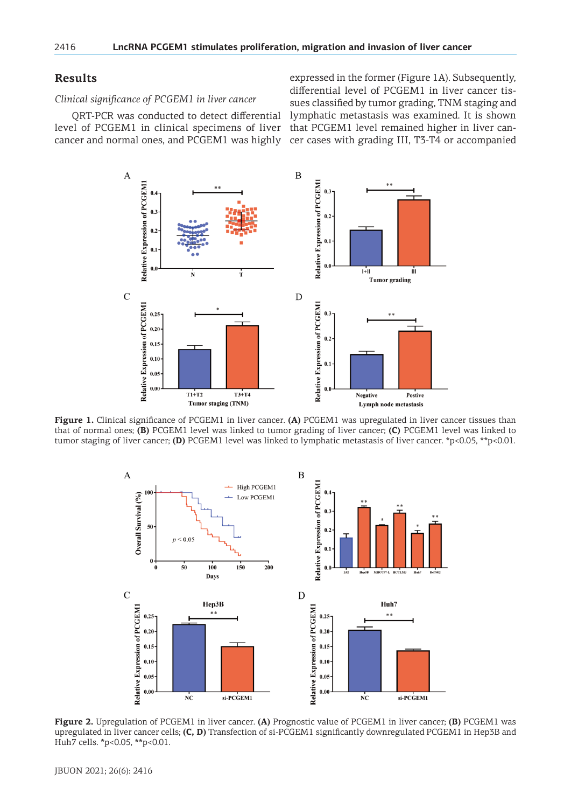# **Results**

*Clinical significance of PCGEM1 in liver cancer*

QRT-PCR was conducted to detect differential level of PCGEM1 in clinical specimens of liver cancer and normal ones, and PCGEM1 was highly

expressed in the former (Figure 1A). Subsequently, differential level of PCGEM1 in liver cancer tissues classified by tumor grading, TNM staging and lymphatic metastasis was examined. It is shown that PCGEM1 level remained higher in liver cancer cases with grading III, T3-T4 or accompanied



**Figure 1.** Clinical significance of PCGEM1 in liver cancer. **(A)** PCGEM1 was upregulated in liver cancer tissues than that of normal ones; **(B)** PCGEM1 level was linked to tumor grading of liver cancer; **(C)** PCGEM1 level was linked to tumor staging of liver cancer; **(D)** PCGEM1 level was linked to lymphatic metastasis of liver cancer. \*p<0.05, \*\*p<0.01.



**Figure 2.** Upregulation of PCGEM1 in liver cancer. **(A)** Prognostic value of PCGEM1 in liver cancer; **(B)** PCGEM1 was upregulated in liver cancer cells; **(C, D)** Transfection of si-PCGEM1 significantly downregulated PCGEM1 in Hep3B and Huh7 cells. \*p<0.05, \*\*p<0.01.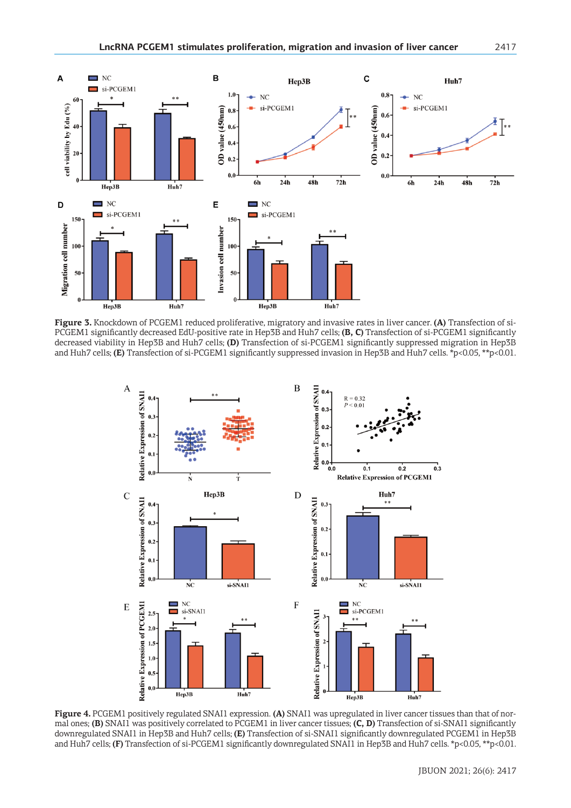

**Figure 3.** Knockdown of PCGEM1 reduced proliferative, migratory and invasive rates in liver cancer. **(A)** Transfection of si-PCGEM1 significantly decreased EdU-positive rate in Hep3B and Huh7 cells; **(B, C)** Transfection of si-PCGEM1 significantly decreased viability in Hep3B and Huh7 cells; **(D)** Transfection of si-PCGEM1 significantly suppressed migration in Hep3B and Huh7 cells; **(E)** Transfection of si-PCGEM1 significantly suppressed invasion in Hep3B and Huh7 cells. \*p<0.05, \*\*p<0.01.



**Figure 4.** PCGEM1 positively regulated SNAI1 expression. **(A)** SNAI1 was upregulated in liver cancer tissues than that of normal ones; **(B)** SNAI1 was positively correlated to PCGEM1 in liver cancer tissues; **(C, D)** Transfection of si-SNAI1 significantly downregulated SNAI1 in Hep3B and Huh7 cells; **(E)** Transfection of si-SNAI1 significantly downregulated PCGEM1 in Hep3B and Huh7 cells; **(F)** Transfection of si-PCGEM1 significantly downregulated SNAI1 in Hep3B and Huh7 cells. \*p<0.05, \*\*p<0.01.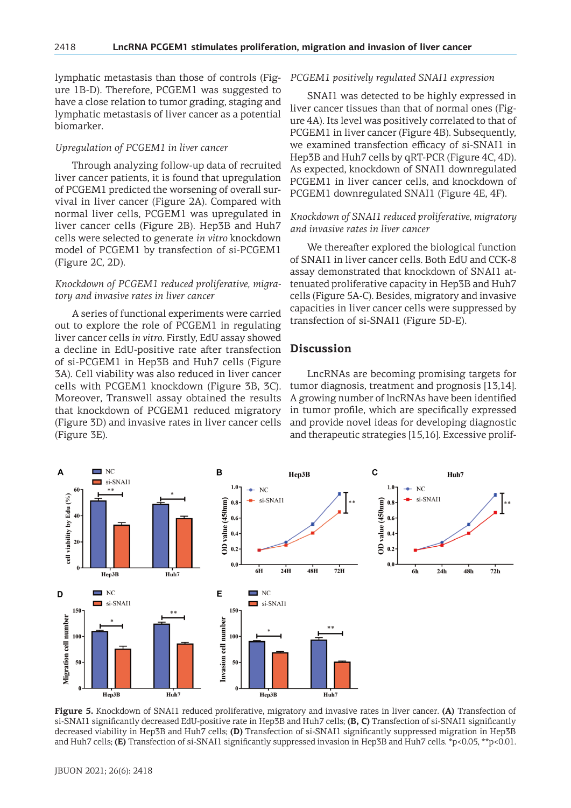lymphatic metastasis than those of controls (Figure 1B-D). Therefore, PCGEM1 was suggested to have a close relation to tumor grading, staging and lymphatic metastasis of liver cancer as a potential biomarker.

### *Upregulation of PCGEM1 in liver cancer*

Through analyzing follow-up data of recruited liver cancer patients, it is found that upregulation of PCGEM1 predicted the worsening of overall survival in liver cancer (Figure 2A). Compared with normal liver cells, PCGEM1 was upregulated in liver cancer cells (Figure 2B). Hep3B and Huh7 cells were selected to generate *in vitro* knockdown model of PCGEM1 by transfection of si-PCGEM1 (Figure 2C, 2D).

### *Knockdown of PCGEM1 reduced proliferative, migratory and invasive rates in liver cancer*

A series of functional experiments were carried out to explore the role of PCGEM1 in regulating liver cancer cells *in vitro*. Firstly, EdU assay showed a decline in EdU-positive rate after transfection of si-PCGEM1 in Hep3B and Huh7 cells (Figure 3A). Cell viability was also reduced in liver cancer cells with PCGEM1 knockdown (Figure 3B, 3C). Moreover, Transwell assay obtained the results that knockdown of PCGEM1 reduced migratory (Figure 3D) and invasive rates in liver cancer cells (Figure 3E).

### *PCGEM1 positively regulated SNAI1 expression*

SNAI1 was detected to be highly expressed in liver cancer tissues than that of normal ones (Figure 4A). Its level was positively correlated to that of PCGEM1 in liver cancer (Figure 4B). Subsequently, we examined transfection efficacy of si-SNAI1 in Hep3B and Huh7 cells by qRT-PCR (Figure 4C, 4D). As expected, knockdown of SNAI1 downregulated PCGEM1 in liver cancer cells, and knockdown of PCGEM1 downregulated SNAI1 (Figure 4E, 4F).

## *Knockdown of SNAI1 reduced proliferative, migratory and invasive rates in liver cancer*

We thereafter explored the biological function of SNAI1 in liver cancer cells. Both EdU and CCK-8 assay demonstrated that knockdown of SNAI1 attenuated proliferative capacity in Hep3B and Huh7 cells (Figure 5A-C). Besides, migratory and invasive capacities in liver cancer cells were suppressed by transfection of si-SNAI1 (Figure 5D-E).

# **Discussion**

LncRNAs are becoming promising targets for tumor diagnosis, treatment and prognosis [13,14]. A growing number of lncRNAs have been identified in tumor profile, which are specifically expressed and provide novel ideas for developing diagnostic and therapeutic strategies [15,16]. Excessive prolif-



**Figure 5.** Knockdown of SNAI1 reduced proliferative, migratory and invasive rates in liver cancer. **(A)** Transfection of si-SNAI1 significantly decreased EdU-positive rate in Hep3B and Huh7 cells; **(B, C)** Transfection of si-SNAI1 significantly decreased viability in Hep3B and Huh7 cells; **(D)** Transfection of si-SNAI1 significantly suppressed migration in Hep3B and Huh7 cells; **(E)** Transfection of si-SNAI1 significantly suppressed invasion in Hep3B and Huh7 cells. \*p<0.05, \*\*p<0.01.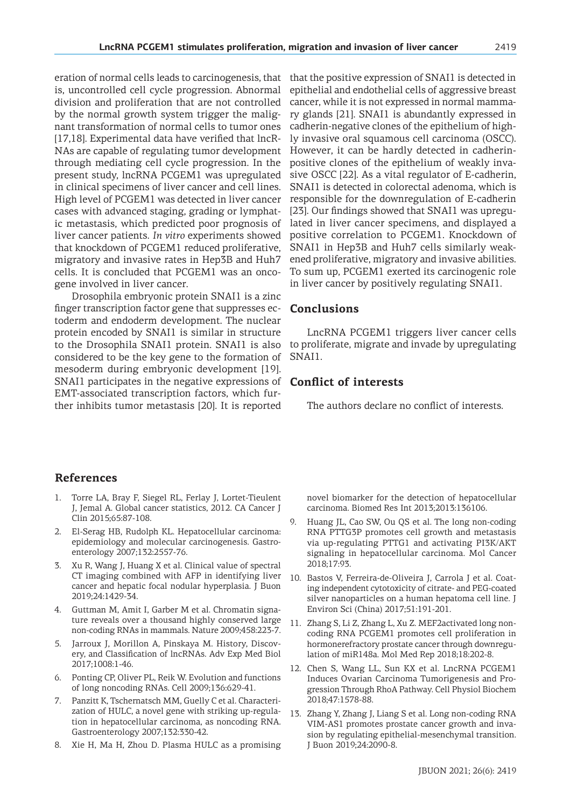eration of normal cells leads to carcinogenesis, that is, uncontrolled cell cycle progression. Abnormal division and proliferation that are not controlled by the normal growth system trigger the malignant transformation of normal cells to tumor ones [17,18]. Experimental data have verified that lncR-NAs are capable of regulating tumor development through mediating cell cycle progression. In the present study, lncRNA PCGEM1 was upregulated in clinical specimens of liver cancer and cell lines. High level of PCGEM1 was detected in liver cancer cases with advanced staging, grading or lymphatic metastasis, which predicted poor prognosis of liver cancer patients. *In vitro* experiments showed that knockdown of PCGEM1 reduced proliferative, migratory and invasive rates in Hep3B and Huh7 cells. It is concluded that PCGEM1 was an oncogene involved in liver cancer.

Drosophila embryonic protein SNAI1 is a zinc finger transcription factor gene that suppresses ectoderm and endoderm development. The nuclear protein encoded by SNAI1 is similar in structure to the Drosophila SNAI1 protein. SNAI1 is also considered to be the key gene to the formation of mesoderm during embryonic development [19]. SNAI1 participates in the negative expressions of EMT-associated transcription factors, which further inhibits tumor metastasis [20]. It is reported

that the positive expression of SNAI1 is detected in epithelial and endothelial cells of aggressive breast cancer, while it is not expressed in normal mammary glands [21]. SNAI1 is abundantly expressed in cadherin-negative clones of the epithelium of highly invasive oral squamous cell carcinoma (OSCC). However, it can be hardly detected in cadherinpositive clones of the epithelium of weakly invasive OSCC [22]. As a vital regulator of E-cadherin, SNAI1 is detected in colorectal adenoma, which is responsible for the downregulation of E-cadherin [23]. Our findings showed that SNAI1 was upregulated in liver cancer specimens, and displayed a positive correlation to PCGEM1. Knockdown of SNAI1 in Hep3B and Huh7 cells similarly weakened proliferative, migratory and invasive abilities. To sum up, PCGEM1 exerted its carcinogenic role in liver cancer by positively regulating SNAI1.

# **Conclusions**

LncRNA PCGEM1 triggers liver cancer cells to proliferate, migrate and invade by upregulating SNAI1.

# **Conflict of interests**

The authors declare no conflict of interests.

# **References**

- Torre LA, Bray F, Siegel RL, Ferlay J, Lortet-Tieulent J, Jemal A. Global cancer statistics, 2012. CA Cancer J Clin 2015;65:87-108.
- 2. El-Serag HB, Rudolph KL. Hepatocellular carcinoma: epidemiology and molecular carcinogenesis. Gastroenterology 2007;132:2557-76.
- 3. Xu R, Wang J, Huang X et al. Clinical value of spectral CT imaging combined with AFP in identifying liver cancer and hepatic focal nodular hyperplasia. J Buon 2019;24:1429-34.
- 4. Guttman M, Amit I, Garber M et al. Chromatin signature reveals over a thousand highly conserved large non-coding RNAs in mammals. Nature 2009;458:223-7.
- 5. Jarroux J, Morillon A, Pinskaya M. History, Discovery, and Classification of lncRNAs. Adv Exp Med Biol 2017;1008:1-46.
- 6. Ponting CP, Oliver PL, Reik W. Evolution and functions of long noncoding RNAs. Cell 2009;136:629-41.
- 7. Panzitt K, Tschernatsch MM, Guelly C et al. Characterization of HULC, a novel gene with striking up-regulation in hepatocellular carcinoma, as noncoding RNA. Gastroenterology 2007;132:330-42.
- 8. Xie H, Ma H, Zhou D. Plasma HULC as a promising

novel biomarker for the detection of hepatocellular carcinoma. Biomed Res Int 2013;2013:136106.

- 9. Huang JL, Cao SW, Ou QS et al. The long non-coding RNA PTTG3P promotes cell growth and metastasis via up-regulating PTTG1 and activating PI3K/AKT signaling in hepatocellular carcinoma. Mol Cancer 2018;17:93.
- 10. Bastos V, Ferreira-de-Oliveira J, Carrola J et al. Coating independent cytotoxicity of citrate- and PEG-coated silver nanoparticles on a human hepatoma cell line. J Environ Sci (China) 2017;51:191-201.
- 11. Zhang S, Li Z, Zhang L, Xu Z. MEF2activated long noncoding RNA PCGEM1 promotes cell proliferation in hormonerefractory prostate cancer through downregulation of miR148a. Mol Med Rep 2018;18:202-8.
- 12. Chen S, Wang LL, Sun KX et al. LncRNA PCGEM1 Induces Ovarian Carcinoma Tumorigenesis and Progression Through RhoA Pathway. Cell Physiol Biochem 2018;47:1578-88.
- 13. Zhang Y, Zhang J, Liang S et al. Long non-coding RNA VIM-AS1 promotes prostate cancer growth and invasion by regulating epithelial-mesenchymal transition. J Buon 2019;24:2090-8.